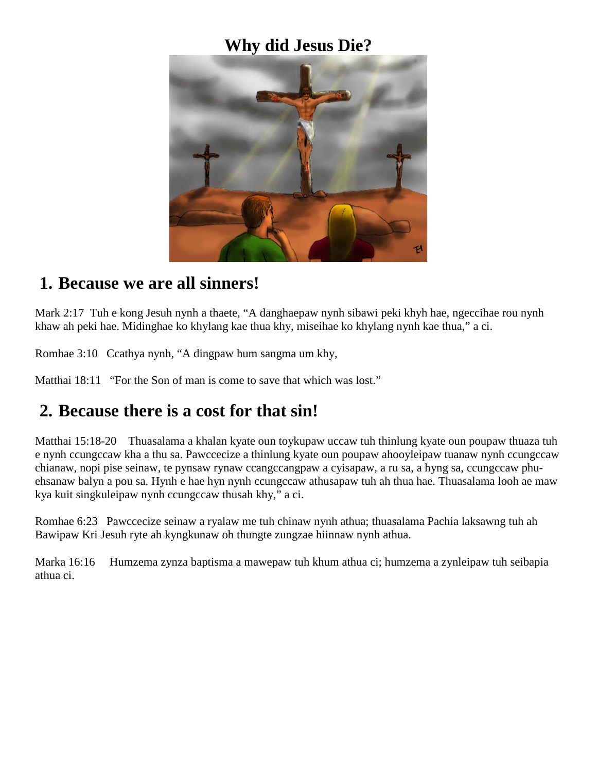## **Why did Jesus Die?**



#### **1. Because we are all sinners!**

Mark 2:17 Tuh e kong Jesuh nynh a thaete, "A danghaepaw nynh sibawi peki khyh hae, ngeccihae rou nynh khaw ah peki hae. Midinghae ko khylang kae thua khy, miseihae ko khylang nynh kae thua," a ci.

Romhae 3:10 Ccathya nynh, "A dingpaw hum sangma um khy,

Matthai 18:11 "For the Son of man is come to save that which was lost."

## **2. Because there is a cost for that sin!**

Matthai 15:18-20 Thuasalama a khalan kyate oun toykupaw uccaw tuh thinlung kyate oun poupaw thuaza tuh e nynh ccungccaw kha a thu sa. Pawccecize a thinlung kyate oun poupaw ahooyleipaw tuanaw nynh ccungccaw chianaw, nopi pise seinaw, te pynsaw rynaw ccangccangpaw a cyisapaw, a ru sa, a hyng sa, ccungccaw phuehsanaw balyn a pou sa. Hynh e hae hyn nynh ccungccaw athusapaw tuh ah thua hae. Thuasalama looh ae maw kya kuit singkuleipaw nynh ccungccaw thusah khy," a ci.

Romhae 6:23 Pawccecize seinaw a ryalaw me tuh chinaw nynh athua; thuasalama Pachia laksawng tuh ah Bawipaw Kri Jesuh ryte ah kyngkunaw oh thungte zungzae hiinnaw nynh athua.

Marka 16:16 Humzema zynza baptisma a mawepaw tuh khum athua ci; humzema a zynleipaw tuh seibapia athua ci.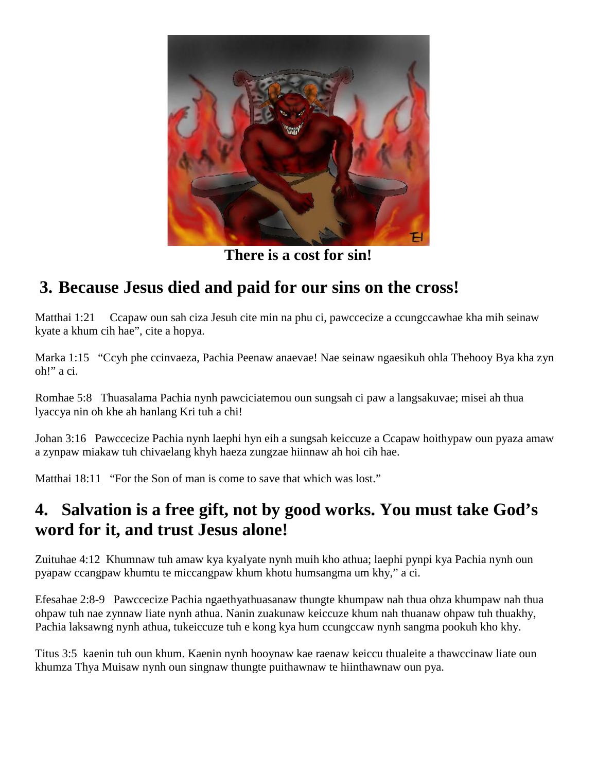

**There is a cost for sin!**

## **3. Because Jesus died and paid for our sins on the cross!**

Matthai 1:21 Ccapaw oun sah ciza Jesuh cite min na phu ci, pawccecize a ccungccawhae kha mih seinaw kyate a khum cih hae", cite a hopya.

Marka 1:15 "Ccyh phe ccinvaeza, Pachia Peenaw anaevae! Nae seinaw ngaesikuh ohla Thehooy Bya kha zyn oh!" a ci.

Romhae 5:8 Thuasalama Pachia nynh pawciciatemou oun sungsah ci paw a langsakuvae; misei ah thua lyaccya nin oh khe ah hanlang Kri tuh a chi!

Johan 3:16 Pawccecize Pachia nynh laephi hyn eih a sungsah keiccuze a Ccapaw hoithypaw oun pyaza amaw a zynpaw miakaw tuh chivaelang khyh haeza zungzae hiinnaw ah hoi cih hae.

Matthai 18:11 "For the Son of man is come to save that which was lost."

## **4. Salvation is a free gift, not by good works. You must take God's word for it, and trust Jesus alone!**

Zuituhae 4:12 Khumnaw tuh amaw kya kyalyate nynh muih kho athua; laephi pynpi kya Pachia nynh oun pyapaw ccangpaw khumtu te miccangpaw khum khotu humsangma um khy," a ci.

Efesahae 2:8-9 Pawccecize Pachia ngaethyathuasanaw thungte khumpaw nah thua ohza khumpaw nah thua ohpaw tuh nae zynnaw liate nynh athua. Nanin zuakunaw keiccuze khum nah thuanaw ohpaw tuh thuakhy, Pachia laksawng nynh athua, tukeiccuze tuh e kong kya hum ccungccaw nynh sangma pookuh kho khy.

Titus 3:5 kaenin tuh oun khum. Kaenin nynh hooynaw kae raenaw keiccu thualeite a thawccinaw liate oun khumza Thya Muisaw nynh oun singnaw thungte puithawnaw te hiinthawnaw oun pya.